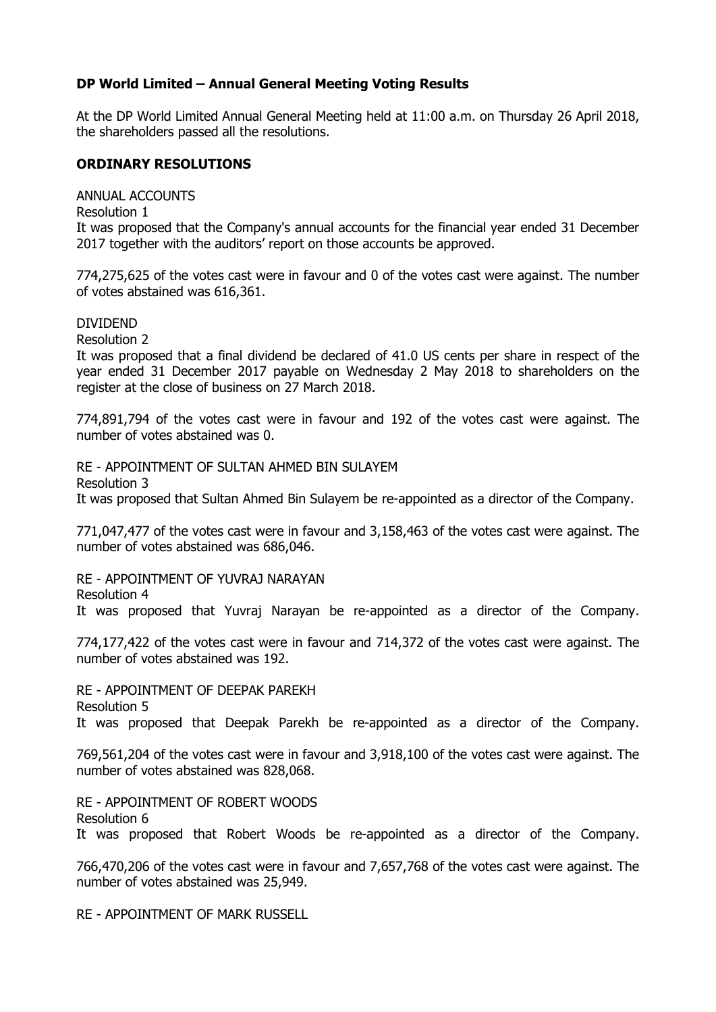## **DP World Limited – Annual General Meeting Voting Results**

At the DP World Limited Annual General Meeting held at 11:00 a.m. on Thursday 26 April 2018, the shareholders passed all the resolutions.

## **ORDINARY RESOLUTIONS**

ANNUAL ACCOUNTS

Resolution 1

It was proposed that the Company's annual accounts for the financial year ended 31 December 2017 together with the auditors' report on those accounts be approved.

774,275,625 of the votes cast were in favour and 0 of the votes cast were against. The number of votes abstained was 616,361.

DIVIDEND

Resolution 2

It was proposed that a final dividend be declared of 41.0 US cents per share in respect of the year ended 31 December 2017 payable on Wednesday 2 May 2018 to shareholders on the register at the close of business on 27 March 2018.

774,891,794 of the votes cast were in favour and 192 of the votes cast were against. The number of votes abstained was 0.

RE - APPOINTMENT OF SULTAN AHMED BIN SULAYEM Resolution 3 It was proposed that Sultan Ahmed Bin Sulayem be re-appointed as a director of the Company.

771,047,477 of the votes cast were in favour and 3,158,463 of the votes cast were against. The number of votes abstained was 686,046.

RE - APPOINTMENT OF YUVRAJ NARAYAN Resolution 4

It was proposed that Yuvraj Narayan be re-appointed as a director of the Company.

774,177,422 of the votes cast were in favour and 714,372 of the votes cast were against. The number of votes abstained was 192.

RE - APPOINTMENT OF DEEPAK PAREKH Resolution 5 It was proposed that Deepak Parekh be re-appointed as a director of the Company.

769,561,204 of the votes cast were in favour and 3,918,100 of the votes cast were against. The number of votes abstained was 828,068.

RE - APPOINTMENT OF ROBERT WOODS Resolution 6

It was proposed that Robert Woods be re-appointed as a director of the Company.

766,470,206 of the votes cast were in favour and 7,657,768 of the votes cast were against. The number of votes abstained was 25,949.

RE - APPOINTMENT OF MARK RUSSELL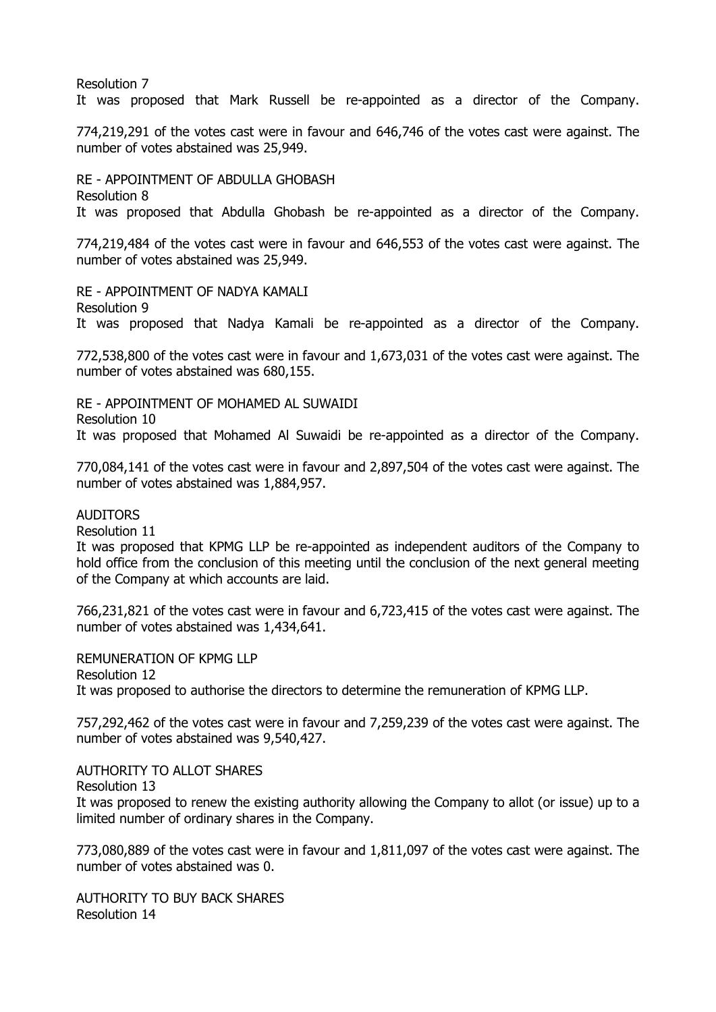Resolution 7

It was proposed that Mark Russell be re-appointed as a director of the Company.

774,219,291 of the votes cast were in favour and 646,746 of the votes cast were against. The number of votes abstained was 25,949.

RE - APPOINTMENT OF ABDULLA GHOBASH Resolution 8 It was proposed that Abdulla Ghobash be re-appointed as a director of the Company.

774,219,484 of the votes cast were in favour and 646,553 of the votes cast were against. The number of votes abstained was 25,949.

RE - APPOINTMENT OF NADYA KAMALI Resolution 9 It was proposed that Nadya Kamali be re-appointed as a director of the Company.

772,538,800 of the votes cast were in favour and 1,673,031 of the votes cast were against. The number of votes abstained was 680,155.

RE - APPOINTMENT OF MOHAMED AL SUWAIDI Resolution 10 It was proposed that Mohamed Al Suwaidi be re-appointed as a director of the Company.

770,084,141 of the votes cast were in favour and 2,897,504 of the votes cast were against. The number of votes abstained was 1,884,957.

AUDITORS

Resolution 11

It was proposed that KPMG LLP be re-appointed as independent auditors of the Company to hold office from the conclusion of this meeting until the conclusion of the next general meeting of the Company at which accounts are laid.

766,231,821 of the votes cast were in favour and 6,723,415 of the votes cast were against. The number of votes abstained was 1,434,641.

REMUNERATION OF KPMG LLP Resolution 12 It was proposed to authorise the directors to determine the remuneration of KPMG LLP.

757,292,462 of the votes cast were in favour and 7,259,239 of the votes cast were against. The number of votes abstained was 9,540,427.

AUTHORITY TO ALLOT SHARES

Resolution 13

It was proposed to renew the existing authority allowing the Company to allot (or issue) up to a limited number of ordinary shares in the Company.

773,080,889 of the votes cast were in favour and 1,811,097 of the votes cast were against. The number of votes abstained was 0.

AUTHORITY TO BUY BACK SHARES Resolution 14